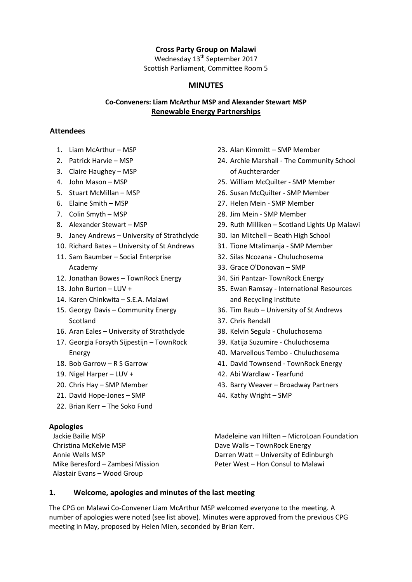## **Cross Party Group on Malawi**

Wednesday 13<sup>th</sup> September 2017 Scottish Parliament, Committee Room 5

#### **MINUTES**

# **Co-Conveners: Liam McArthur MSP and Alexander Stewart MSP Renewable Energy Partnerships**

#### **Attendees**

- 1. Liam McArthur MSP
- 2. Patrick Harvie MSP
- 3. Claire Haughey MSP
- 4. John Mason MSP
- 5. Stuart McMillan MSP
- 6. Elaine Smith MSP
- 7. Colin Smyth MSP
- 8. Alexander Stewart MSP
- 9. Janey Andrews University of Strathclyde
- 10. Richard Bates University of St Andrews
- 11. Sam Baumber Social Enterprise Academy
- 12. Jonathan Bowes TownRock Energy
- 13. John Burton LUV +
- 14. Karen Chinkwita S.E.A. Malawi
- 15. Georgy Davis Community Energy Scotland
- 16. Aran Eales University of Strathclyde
- 17. Georgia Forsyth Sijpestijn TownRock Energy
- 18. Bob Garrow R S Garrow
- 19. Nigel Harper LUV +
- 20. Chris Hay SMP Member
- 21. David Hope-Jones SMP
- 22. Brian Kerr The Soko Fund

## **Apologies**

Christina McKelvie MSP **Dave Walls – TownRock Energy** Mike Beresford – Zambesi Mission Alastair Evans – Wood Group

- 23. Alan Kimmitt SMP Member
- 24. Archie Marshall The Community School of Auchterarder
- 25. William McQuilter SMP Member
- 26. Susan McQuilter SMP Member
- 27. Helen Mein SMP Member
- 28. Jim Mein SMP Member
- 29. Ruth Milliken Scotland Lights Up Malawi
- 30. Ian Mitchell Beath High School
- 31. Tione Mtalimanja SMP Member
- 32. Silas Ncozana Chuluchosema
- 33. Grace O'Donovan SMP
- 34. Siri Pantzar- TownRock Energy
- 35. Ewan Ramsay International Resources and Recycling Institute
- 36. Tim Raub University of St Andrews
- 37. Chris Rendall
- 38. Kelvin Segula Chuluchosema
- 39. Katija Suzumire Chuluchosema
- 40. Marvellous Tembo Chuluchosema
- 41. David Townsend TownRock Energy
- 42. Abi Wardlaw Tearfund
- 43. Barry Weaver Broadway Partners
- 44. Kathy Wright SMP

Jackie Bailie MSP Madeleine van Hilten – MicroLoan Foundation Annie Wells MSP Darren Watt – University of Edinburgh Peter West – Hon Consul to Malawi

#### **1. Welcome, apologies and minutes of the last meeting**

The CPG on Malawi Co-Convener Liam McArthur MSP welcomed everyone to the meeting. A number of apologies were noted (see list above). Minutes were approved from the previous CPG meeting in May, proposed by Helen Mien, seconded by Brian Kerr.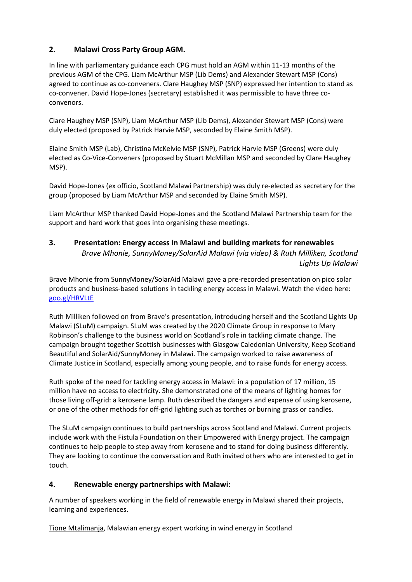# **2. Malawi Cross Party Group AGM.**

In line with parliamentary guidance each CPG must hold an AGM within 11-13 months of the previous AGM of the CPG. Liam McArthur MSP (Lib Dems) and Alexander Stewart MSP (Cons) agreed to continue as co-conveners. Clare Haughey MSP (SNP) expressed her intention to stand as co-convener. David Hope-Jones (secretary) established it was permissible to have three coconvenors.

Clare Haughey MSP (SNP), Liam McArthur MSP (Lib Dems), Alexander Stewart MSP (Cons) were duly elected (proposed by Patrick Harvie MSP, seconded by Elaine Smith MSP).

Elaine Smith MSP (Lab), Christina McKelvie MSP (SNP), Patrick Harvie MSP (Greens) were duly elected as Co-Vice-Conveners (proposed by Stuart McMillan MSP and seconded by Clare Haughey MSP).

David Hope-Jones (ex officio, Scotland Malawi Partnership) was duly re-elected as secretary for the group (proposed by Liam McArthur MSP and seconded by Elaine Smith MSP).

Liam McArthur MSP thanked David Hope-Jones and the Scotland Malawi Partnership team for the support and hard work that goes into organising these meetings.

**3. Presentation: Energy access in Malawi and building markets for renewables** *Brave Mhonie, SunnyMoney/SolarAid Malawi (via video) & Ruth Milliken, Scotland Lights Up Malawi*

Brave Mhonie from SunnyMoney/SolarAid Malawi gave a pre-recorded presentation on pico solar products and business-based solutions in tackling energy access in Malawi. Watch the video here: [goo.gl/HRVLtE](https://goo.gl/HRVLtE)

Ruth Milliken followed on from Brave's presentation, introducing herself and the Scotland Lights Up Malawi (SLuM) campaign. SLuM was created by the 2020 Climate Group in response to Mary Robinson's challenge to the business world on Scotland's role in tackling climate change. The campaign brought together Scottish businesses with Glasgow Caledonian University, Keep Scotland Beautiful and SolarAid/SunnyMoney in Malawi. The campaign worked to raise awareness of Climate Justice in Scotland, especially among young people, and to raise funds for energy access.

Ruth spoke of the need for tackling energy access in Malawi: in a population of 17 million, 15 million have no access to electricity. She demonstrated one of the means of lighting homes for those living off-grid: a kerosene lamp. Ruth described the dangers and expense of using kerosene, or one of the other methods for off-grid lighting such as torches or burning grass or candles.

The SLuM campaign continues to build partnerships across Scotland and Malawi. Current projects include work with the Fistula Foundation on their Empowered with Energy project. The campaign continues to help people to step away from kerosene and to stand for doing business differently. They are looking to continue the conversation and Ruth invited others who are interested to get in touch.

# **4. Renewable energy partnerships with Malawi:**

A number of speakers working in the field of renewable energy in Malawi shared their projects, learning and experiences.

Tione Mtalimanja, Malawian energy expert working in wind energy in Scotland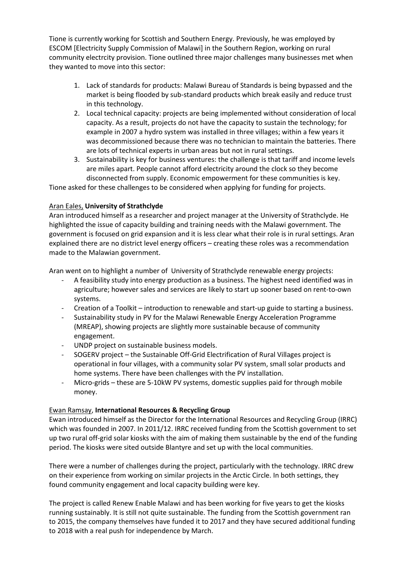Tione is currently working for Scottish and Southern Energy. Previously, he was employed by ESCOM [Electricity Supply Commission of Malawi] in the Southern Region, working on rural community electrcity provision. Tione outlined three major challenges many businesses met when they wanted to move into this sector:

- 1. Lack of standards for products: Malawi Bureau of Standards is being bypassed and the market is being flooded by sub-standard products which break easily and reduce trust in this technology.
- 2. Local technical capacity: projects are being implemented without consideration of local capacity. As a result, projects do not have the capacity to sustain the technology; for example in 2007 a hydro system was installed in three villages; within a few years it was decommissioned because there was no technician to maintain the batteries. There are lots of technical experts in urban areas but not in rural settings.
- 3. Sustainability is key for business ventures: the challenge is that tariff and income levels are miles apart. People cannot afford electricity around the clock so they become disconnected from supply. Economic empowerment for these communities is key.

Tione asked for these challenges to be considered when applying for funding for projects.

### Aran Eales, **University of Strathclyde**

Aran introduced himself as a researcher and project manager at the University of Strathclyde. He highlighted the issue of capacity building and training needs with the Malawi government. The government is focused on grid expansion and it is less clear what their role is in rural settings. Aran explained there are no district level energy officers – creating these roles was a recommendation made to the Malawian government.

Aran went on to highlight a number of University of Strathclyde renewable energy projects:

- A feasibility study into energy production as a business. The highest need identified was in agriculture; however sales and services are likely to start up sooner based on rent-to-own systems.
- Creation of a Toolkit introduction to renewable and start-up guide to starting a business.
- Sustainability study in PV for the Malawi Renewable Energy Acceleration Programme (MREAP), showing projects are slightly more sustainable because of community engagement.
- UNDP project on sustainable business models.
- SOGERV project the Sustainable Off-Grid Electrification of Rural Villages project is operational in four villages, with a community solar PV system, small solar products and home systems. There have been challenges with the PV installation.
- Micro-grids these are 5-10kW PV systems, domestic supplies paid for through mobile money.

#### Ewan Ramsay, **International Resources & Recycling Group**

Ewan introduced himself as the Director for the International Resources and Recycling Group (IRRC) which was founded in 2007. In 2011/12. IRRC received funding from the Scottish government to set up two rural off-grid solar kiosks with the aim of making them sustainable by the end of the funding period. The kiosks were sited outside Blantyre and set up with the local communities.

There were a number of challenges during the project, particularly with the technology. IRRC drew on their experience from working on similar projects in the Arctic Circle. In both settings, they found community engagement and local capacity building were key.

The project is called Renew Enable Malawi and has been working for five years to get the kiosks running sustainably. It is still not quite sustainable. The funding from the Scottish government ran to 2015, the company themselves have funded it to 2017 and they have secured additional funding to 2018 with a real push for independence by March.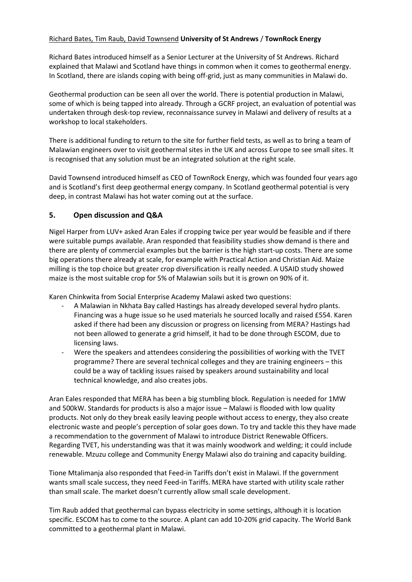## Richard Bates, Tim Raub, David Townsend **University of St Andrews** / **TownRock Energy**

Richard Bates introduced himself as a Senior Lecturer at the University of St Andrews. Richard explained that Malawi and Scotland have things in common when it comes to geothermal energy. In Scotland, there are islands coping with being off-grid, just as many communities in Malawi do.

Geothermal production can be seen all over the world. There is potential production in Malawi, some of which is being tapped into already. Through a GCRF project, an evaluation of potential was undertaken through desk-top review, reconnaissance survey in Malawi and delivery of results at a workshop to local stakeholders.

There is additional funding to return to the site for further field tests, as well as to bring a team of Malawian engineers over to visit geothermal sites in the UK and across Europe to see small sites. It is recognised that any solution must be an integrated solution at the right scale.

David Townsend introduced himself as CEO of TownRock Energy, which was founded four years ago and is Scotland's first deep geothermal energy company. In Scotland geothermal potential is very deep, in contrast Malawi has hot water coming out at the surface.

## **5. Open discussion and Q&A**

Nigel Harper from LUV+ asked Aran Eales if cropping twice per year would be feasible and if there were suitable pumps available. Aran responded that feasibility studies show demand is there and there are plenty of commercial examples but the barrier is the high start-up costs. There are some big operations there already at scale, for example with Practical Action and Christian Aid. Maize milling is the top choice but greater crop diversification is really needed. A USAID study showed maize is the most suitable crop for 5% of Malawian soils but it is grown on 90% of it.

Karen Chinkwita from Social Enterprise Academy Malawi asked two questions:

- A Malawian in Nkhata Bay called Hastings has already developed several hydro plants. Financing was a huge issue so he used materials he sourced locally and raised £554. Karen asked if there had been any discussion or progress on licensing from MERA? Hastings had not been allowed to generate a grid himself, it had to be done through ESCOM, due to licensing laws.
- Were the speakers and attendees considering the possibilities of working with the TVET programme? There are several technical colleges and they are training engineers – this could be a way of tackling issues raised by speakers around sustainability and local technical knowledge, and also creates jobs.

Aran Eales responded that MERA has been a big stumbling block. Regulation is needed for 1MW and 500kW. Standards for products is also a major issue – Malawi is flooded with low quality products. Not only do they break easily leaving people without access to energy, they also create electronic waste and people's perception of solar goes down. To try and tackle this they have made a recommendation to the government of Malawi to introduce District Renewable Officers. Regarding TVET, his understanding was that it was mainly woodwork and welding; it could include renewable. Mzuzu college and Community Energy Malawi also do training and capacity building.

Tione Mtalimanja also responded that Feed-in Tariffs don't exist in Malawi. If the government wants small scale success, they need Feed-in Tariffs. MERA have started with utility scale rather than small scale. The market doesn't currently allow small scale development.

Tim Raub added that geothermal can bypass electricity in some settings, although it is location specific. ESCOM has to come to the source. A plant can add 10-20% grid capacity. The World Bank committed to a geothermal plant in Malawi.